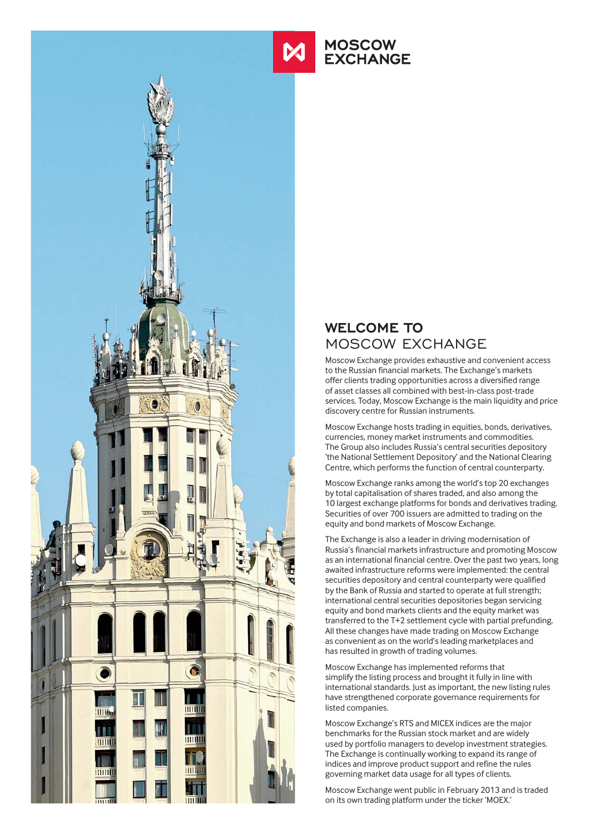

# **MOSCOW EXCHANGE**

## **WELCOME TO**  MOSCOW EXCHANGE

Moscow Exchange provides exhaustive and convenient access to the Russian financial markets. The Exchange's markets offer clients trading opportunities across a diversified range of asset classes all combined with best-in-class post-trade services. Today, Moscow Exchange is the main liquidity and price discovery centre for Russian instruments.

Moscow Exchange hosts trading in equities, bonds, derivatives, currencies, money market instruments and commodities. The Group also includes Russia's central securities depository 'the National Settlement Depository' and the National Clearing Centre, which performs the function of central counterparty.

Moscow Exchange ranks among the world's top 20 exchanges by total capitalisation of shares traded, and also among the 10 largest exchange platforms for bonds and derivatives trading. Securities of over 700 issuers are admitted to trading on the equity and bond markets of Moscow Exchange.

The Exchange is also a leader in driving modernisation of Russia's financial markets infrastructure and promoting Moscow as an international financial centre. Over the past two years, long awaited infrastructure reforms were implemented: the central securities depository and central counterparty were qualified by the Bank of Russia and started to operate at full strength; international central securities depositories began servicing equity and bond markets clients and the equity market was transferred to the T+2 settlement cycle with partial prefunding. All these changes have made trading on Moscow Exchange as convenient as on the world's leading marketplaces and has resulted in growth of trading volumes.

Moscow Exchange has implemented reforms that simplify the listing process and brought it fully in line with international standards. Just as important, the new listing rules have strengthened corporate governance requirements for listed companies.

Moscow Exchange's RTS and MICEX indices are the major benchmarks for the Russian stock market and are widely used by portfolio managers to develop investment strategies. The Exchange is continually working to expand its range of indices and improve product support and refine the rules governing market data usage for all types of clients.

Moscow Exchange went public in February 2013 and is traded on its own trading platform under the ticker 'MOEX.'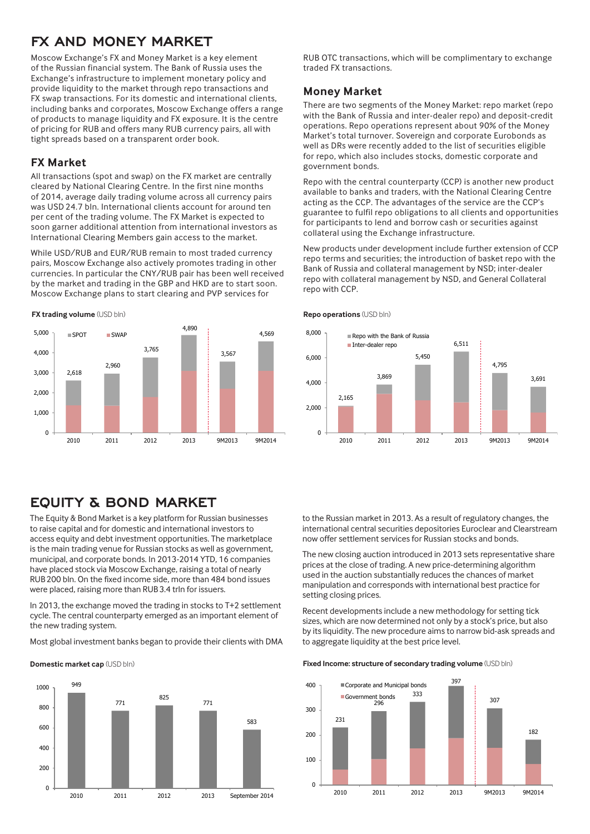## **FX AND MONEY MARKET**

Moscow Exchange's FX and Money Market is a key element of the Russian financial system. The Bank of Russia uses the Exchange's infrastructure to implement monetary policy and provide liquidity to the market through repo transactions and FX swap transactions. For its domestic and international clients, including banks and corporates, Moscow Exchange offers a range of products to manage liquidity and FX exposure. It is the centre of pricing for RUB and offers many RUB currency pairs, all with tight spreads based on a transparent order book.

## **FX Market**

All transactions (spot and swap) on the FX market are centrally cleared by National Clearing Centre. In the first nine months of 2014, average daily trading volume across all currency pairs was USD 24.7 bln. International clients account for around ten per cent of the trading volume. The FX Market is expected to soon garner additional attention from international investors as International Clearing Members gain access to the market.

While USD/RUB and EUR/RUB remain to most traded currency pairs, Moscow Exchange also actively promotes trading in other currencies. In particular the CNY/RUB pair has been well received by the market and trading in the GBP and HKD are to start soon. Moscow Exchange plans to start clearing and PVP services for





# **EQUITY & BOND MARKET**

The Equity & Bond Market is a key platform for Russian businesses to raise capital and for domestic and international investors to access equity and debt investment opportunities. The marketplace is the main trading venue for Russian stocks as well as government, municipal, and corporate bonds. In 2013-2014 YTD, 16 companies have placed stock via Moscow Exchange, raising a total of nearly RUB200 bln. On the fixed income side, more than 484 bond issues were placed, raising more than RUB3.4 trln for issuers.

In 2013, the exchange moved the trading in stocks to T+2 settlement cycle. The central counterparty emerged as an important element of the new trading system.

Most global investment banks began to provide their clients with DMA

**Domestic market cap** (USD bln)



RUB OTC transactions, which will be complimentary to exchange traded FX transactions.

### **Money Market**

There are two segments of the Money Market: repo market (repo with the Bank of Russia and inter-dealer repo) and deposit-credit operations. Repo operations represent about 90% of the Money Market's total turnover. Sovereign and corporate Eurobonds as well as DRs were recently added to the list of securities eligible for repo, which also includes stocks, domestic corporate and government bonds.

Repo with the central counterparty (CCP) is another new product available to banks and traders, with the National Clearing Centre acting as the CCP. The advantages of the service are the CCP's guarantee to fulfil repo obligations to all clients and opportunities for participants to lend and borrow cash or securities against collateral using the Exchange infrastructure.

New products under development include further extension of CCP repo terms and securities; the introduction of basket repo with the Bank of Russia and collateral management by NSD; inter-dealer repo with collateral management by NSD, and General Collateral repo with CCP.



**Repo operations** (USD bln)

to the Russian market in 2013. As a result of regulatory changes, the international central securities depositories Euroclear and Clearstream now offer settlement services for Russian stocks and bonds.

The new closing auction introduced in 2013 sets representative share prices at the close of trading. A new price-determining algorithm used in the auction substantially reduces the chances of market manipulation and corresponds with international best practice for setting closing prices.

Recent developments include a new methodology for setting tick sizes, which are now determined not only by a stock's price, but also by its liquidity. The new procedure aims to narrow bid-ask spreads and to aggregate liquidity at the best price level.

#### **Fixed Income: structure of secondary trading volume** (USD bln)

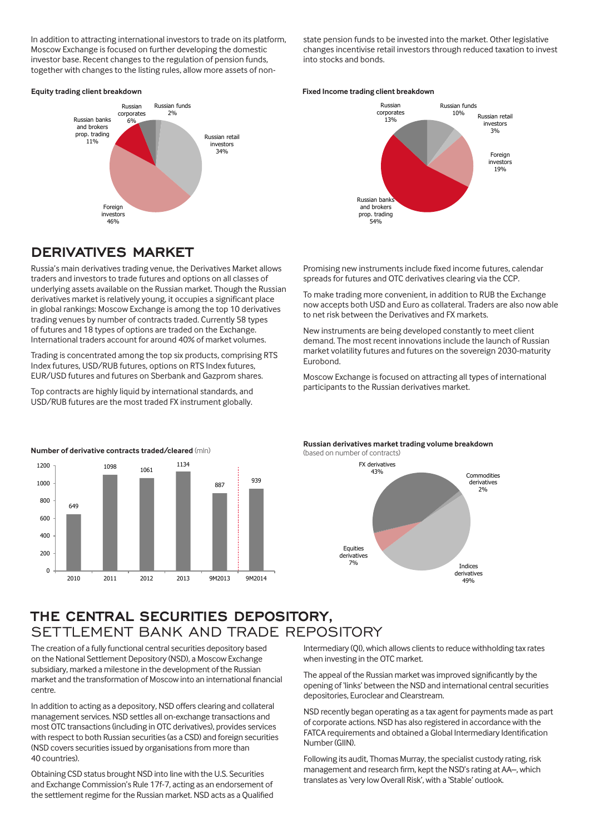In addition to attracting international investors to trade on its platform, Moscow Exchange is focused on further developing the domestic investor base. Recent changes to the regulation of pension funds, together with changes to the listing rules, allow more assets of nonstate pension funds to be invested into the market. Other legislative changes incentivise retail investors through reduced taxation to invest into stocks and bonds.

#### **Equity trading client breakdown**



#### **Fixed Income trading client breakdown**



## **DERIVATIVES MARKET**

Russia's main derivatives trading venue, the Derivatives Market allows traders and investors to trade futures and options on all classes of underlying assets available on the Russian market. Though the Russian derivatives market is relatively young, it occupies a significant place in global rankings: Moscow Exchange is among the top 10 derivatives trading venues by number of contracts traded. Currently 58 types of futures and 18 types of options are traded on the Exchange. International traders account for around 40% of market volumes.

Trading is concentrated among the top six products, comprising RTS Index futures, USD/RUB futures, options on RTS Index futures, EUR/USD futures and futures on Sberbank and Gazprom shares.

Top contracts are highly liquid by international standards, and USD/RUB futures are the most traded FX instrument globally.

Promising new instruments include fixed income futures, calendar spreads for futures and OTC derivatives clearing via the CCP.

To make trading more convenient, in addition to RUB the Exchange now accepts both USD and Euro as collateral. Traders are also now able to net risk between the Derivatives and FX markets.

New instruments are being developed constantly to meet client demand. The most recent innovations include the launch of Russian market volatility futures and futures on the sovereign 2030-maturity Eurobond.

Moscow Exchange is focused on attracting all types of international participants to the Russian derivatives market.



**Russian derivatives market trading volume breakdown**  (based on number of contracts)



## **THE CENTRAL SECURITIES DEPOSITORY,**  SETTLEMENT BANK AND TRADE REPOSITORY

The creation of a fully functional central securities depository based on the National Settlement Depository (NSD), a Moscow Exchange subsidiary, marked a milestone in the development of the Russian market and the transformation of Moscow into an international financial centre.

In addition to acting as a depository, NSD offers clearing and collateral management services. NSD settles all on-exchange transactions and most OTC transactions (including in OTC derivatives), provides services with respect to both Russian securities (as a CSD) and foreign securities (NSD covers securities issued by organisations from more than 40 countries).

Obtaining CSD status brought NSD into line with the U.S. Securities and Exchange Commission's Rule 17f-7, acting as an endorsement of the settlement regime for the Russian market. NSD acts as a Qualified Intermediary (QI), which allows clients to reduce withholding tax rates when investing in the OTC market.

The appeal of the Russian market was improved significantly by the opening of 'links' between the NSD and international central securities depositories, Euroclear and Clearstream.

NSD recently began operating as a tax agent for payments made as part of corporate actions. NSD has also registered in accordance with the FATCA requirements and obtained a Global Intermediary Identification Number (GIIN).

Following its audit, Thomas Murray, the specialist custody rating, risk management and research firm, kept the NSD's rating at AA–, which translates as 'very low Overall Risk', with a 'Stable' outlook.